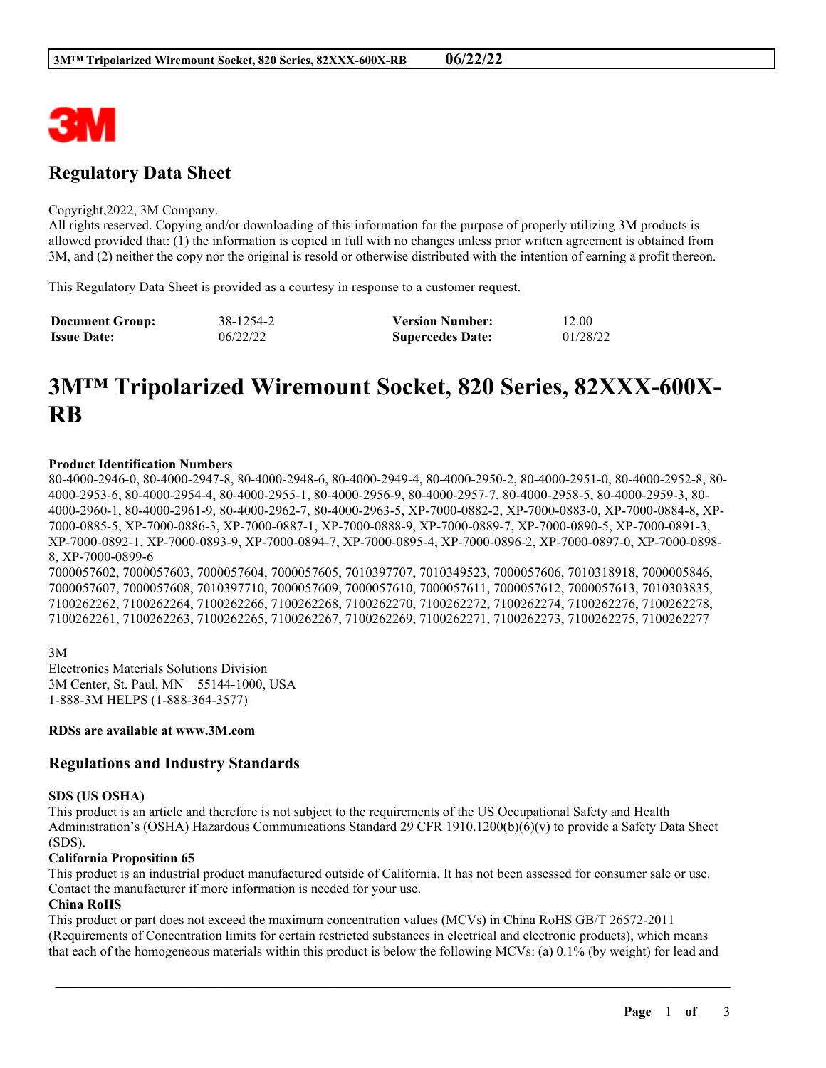

# **Regulatory Data Sheet**

#### Copyright,2022, 3M Company.

All rights reserved. Copying and/or downloading of this information for the purpose of properly utilizing 3M products is allowed provided that: (1) the information is copied in full with no changes unless prior written agreement is obtained from 3M, and (2) neither the copy nor the original is resold or otherwise distributed with the intention of earning a profit thereon.

This Regulatory Data Sheet is provided as a courtesy in response to a customer request.

| <b>Document Group:</b> | 38-1254-2 | <b>Version Number:</b>  | 12.00    |
|------------------------|-----------|-------------------------|----------|
| <b>Issue Date:</b>     | 06/22/22  | <b>Supercedes Date:</b> | 01/28/22 |

# **3M™ Tripolarized Wiremount Socket, 820 Series, 82XXX-600X-RB**

## **Product Identification Numbers**

80-4000-2946-0, 80-4000-2947-8, 80-4000-2948-6, 80-4000-2949-4, 80-4000-2950-2, 80-4000-2951-0, 80-4000-2952-8, 80- 4000-2953-6, 80-4000-2954-4, 80-4000-2955-1, 80-4000-2956-9, 80-4000-2957-7, 80-4000-2958-5, 80-4000-2959-3, 80- 4000-2960-1, 80-4000-2961-9, 80-4000-2962-7, 80-4000-2963-5, XP-7000-0882-2, XP-7000-0883-0, XP-7000-0884-8, XP-7000-0885-5, XP-7000-0886-3, XP-7000-0887-1, XP-7000-0888-9, XP-7000-0889-7, XP-7000-0890-5, XP-7000-0891-3, XP-7000-0892-1, XP-7000-0893-9, XP-7000-0894-7, XP-7000-0895-4, XP-7000-0896-2, XP-7000-0897-0, XP-7000-0898- 8, XP-7000-0899-6

7000057602, 7000057603, 7000057604, 7000057605, 7010397707, 7010349523, 7000057606, 7010318918, 7000005846, 7000057607, 7000057608, 7010397710, 7000057609, 7000057610, 7000057611, 7000057612, 7000057613, 7010303835, 7100262262, 7100262264, 7100262266, 7100262268, 7100262270, 7100262272, 7100262274, 7100262276, 7100262278, 7100262261, 7100262263, 7100262265, 7100262267, 7100262269, 7100262271, 7100262273, 7100262275, 7100262277

3M Electronics Materials Solutions Division 3M Center, St. Paul, MN 55144-1000, USA 1-888-3M HELPS (1-888-364-3577)

**RDSs are available at www.3M.com**

# **Regulations and Industry Standards**

#### **SDS (US OSHA)**

This product is an article and therefore is not subject to the requirements of the US Occupational Safety and Health Administration's (OSHA) Hazardous Communications Standard 29 CFR 1910.1200(b)(6)(v) to provide a Safety Data Sheet (SDS).

#### **California Proposition 65**

This product is an industrial product manufactured outside of California. It has not been assessed for consumer sale or use. Contact the manufacturer if more information is needed for your use.

## **China RoHS**

This product or part does not exceed the maximum concentration values (MCVs) in China RoHS GB/T 26572-2011 (Requirements of Concentration limits for certain restricted substances in electrical and electronic products), which means that each of the homogeneous materials within this product is below the following MCVs: (a) 0.1% (by weight) for lead and

\_\_\_\_\_\_\_\_\_\_\_\_\_\_\_\_\_\_\_\_\_\_\_\_\_\_\_\_\_\_\_\_\_\_\_\_\_\_\_\_\_\_\_\_\_\_\_\_\_\_\_\_\_\_\_\_\_\_\_\_\_\_\_\_\_\_\_\_\_\_\_\_\_\_\_\_\_\_\_\_\_\_\_\_\_\_\_\_\_\_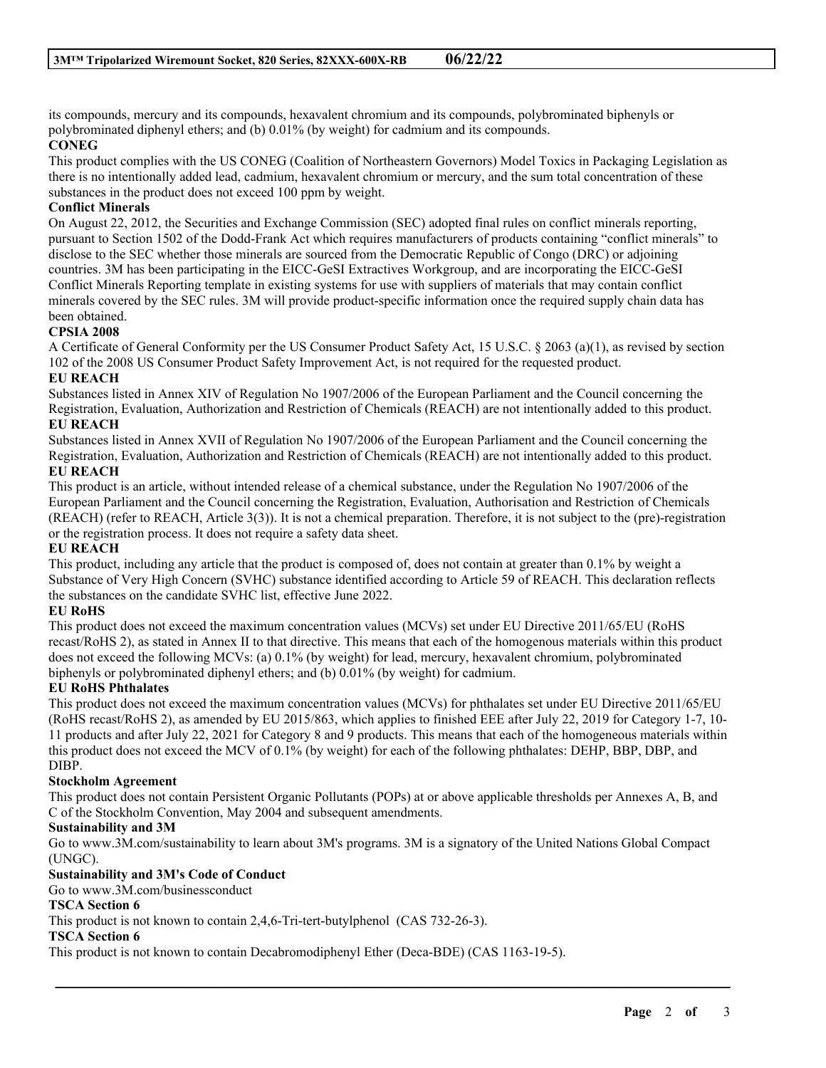its compounds, mercury and its compounds, hexavalent chromium and its compounds, polybrominated biphenyls or polybrominated diphenyl ethers; and (b) 0.01% (by weight) for cadmium and its compounds.

# **CONEG**

This product complies with the US CONEG (Coalition of Northeastern Governors) Model Toxics in Packaging Legislation as there is no intentionally added lead, cadmium, hexavalent chromium or mercury, and the sum total concentration of these substances in the product does not exceed 100 ppm by weight.

# **Conflict Minerals**

On August 22, 2012, the Securities and Exchange Commission (SEC) adopted final rules on conflict minerals reporting, pursuant to Section 1502 of the Dodd-Frank Act which requires manufacturers of products containing "conflict minerals" to disclose to the SEC whether those minerals are sourced from the Democratic Republic of Congo (DRC) or adjoining countries. 3M has been participating in the EICC-GeSI Extractives Workgroup, and are incorporating the EICC-GeSI Conflict Minerals Reporting template in existing systems for use with suppliers of materials that may contain conflict minerals covered by the SEC rules. 3M will provide product-specific information once the required supply chain data has been obtained.

# **CPSIA 2008**

A Certificate of General Conformity per the US Consumer Product Safety Act, 15 U.S.C. § 2063 (a)(1), as revised by section 102 of the 2008 US Consumer Product Safety Improvement Act, is not required for the requested product.

# **EU REACH**

Substances listed in Annex XIV of Regulation No 1907/2006 of the European Parliament and the Council concerning the Registration, Evaluation, Authorization and Restriction of Chemicals (REACH) are not intentionally added to this product. **EU REACH**

Substances listed in Annex XVII of Regulation No 1907/2006 of the European Parliament and the Council concerning the Registration, Evaluation, Authorization and Restriction of Chemicals (REACH) are not intentionally added to this product. **EU REACH**

This product is an article, without intended release of a chemical substance, under the Regulation No 1907/2006 of the European Parliament and the Council concerning the Registration, Evaluation, Authorisation and Restriction of Chemicals (REACH) (refer to REACH, Article 3(3)). It is not a chemical preparation. Therefore, it is not subject to the (pre)-registration or the registration process. It does not require a safety data sheet.

# **EU REACH**

This product, including any article that the product is composed of, does not contain at greater than 0.1% by weight a Substance of Very High Concern (SVHC) substance identified according to Article 59 of REACH. This declaration reflects the substances on the candidate SVHC list, effective June 2022.

# **EU RoHS**

This product does not exceed the maximum concentration values (MCVs) set under EU Directive 2011/65/EU (RoHS recast/RoHS 2), as stated in Annex II to that directive. This means that each of the homogenous materials within this product does not exceed the following MCVs: (a) 0.1% (by weight) for lead, mercury, hexavalent chromium, polybrominated biphenyls or polybrominated diphenyl ethers; and (b) 0.01% (by weight) for cadmium.

# **EU RoHS Phthalates**

This product does not exceed the maximum concentration values (MCVs) for phthalates set under EU Directive 2011/65/EU (RoHS recast/RoHS 2), as amended by EU 2015/863, which applies to finished EEE after July 22, 2019 for Category 1-7, 10- 11 products and after July 22, 2021 for Category 8 and 9 products. This means that each of the homogeneous materials within this product does not exceed the MCV of 0.1% (by weight) for each of the following phthalates: DEHP, BBP, DBP, and DIBP.

# **Stockholm Agreement**

This product does not contain Persistent Organic Pollutants (POPs) at or above applicable thresholds per Annexes A, B, and C of the Stockholm Convention, May 2004 and subsequent amendments.

## **Sustainability and 3M**

Go to www.3M.com/sustainability to learn about 3M's programs. 3M is a signatory of the United Nations Global Compact (UNGC).

\_\_\_\_\_\_\_\_\_\_\_\_\_\_\_\_\_\_\_\_\_\_\_\_\_\_\_\_\_\_\_\_\_\_\_\_\_\_\_\_\_\_\_\_\_\_\_\_\_\_\_\_\_\_\_\_\_\_\_\_\_\_\_\_\_\_\_\_\_\_\_\_\_\_\_\_\_\_\_\_\_\_\_\_\_\_\_\_\_\_

# **Sustainability and 3M's Code of Conduct**

Go to www.3M.com/businessconduct

# **TSCA Section 6**

This product is not known to contain 2,4,6-Tri-tert-butylphenol (CAS 732-26-3).

## **TSCA Section 6**

This product is not known to contain Decabromodiphenyl Ether (Deca-BDE) (CAS 1163-19-5).